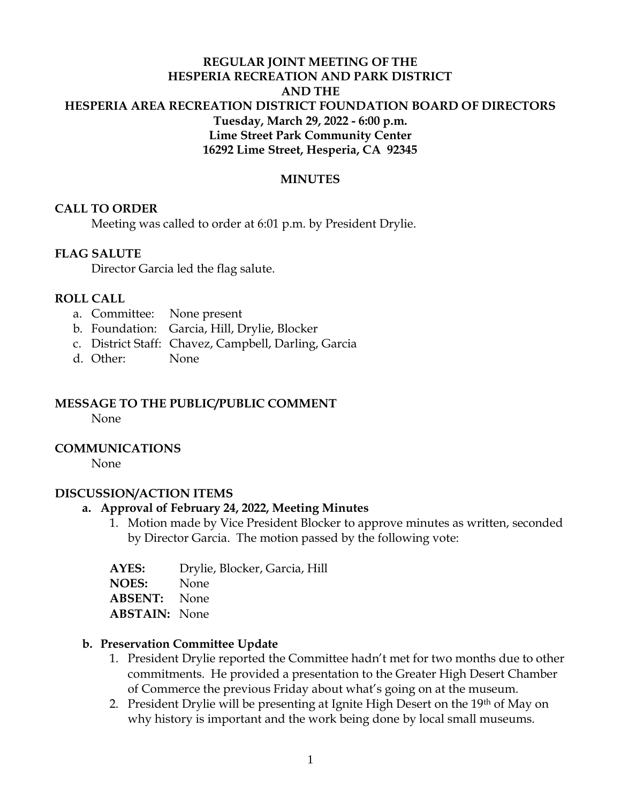## **REGULAR JOINT MEETING OF THE HESPERIA RECREATION AND PARK DISTRICT AND THE HESPERIA AREA RECREATION DISTRICT FOUNDATION BOARD OF DIRECTORS Tuesday, March 29, 2022 - 6:00 p.m. Lime Street Park Community Center 16292 Lime Street, Hesperia, CA 92345**

### **MINUTES**

### **CALL TO ORDER**

Meeting was called to order at 6:01 p.m. by President Drylie.

### **FLAG SALUTE**

Director Garcia led the flag salute.

### **ROLL CALL**

- a. Committee: None present
- b. Foundation: Garcia, Hill, Drylie, Blocker
- c. District Staff: Chavez, Campbell, Darling, Garcia
- d. Other: None

## **MESSAGE TO THE PUBLIC/PUBLIC COMMENT**

None

### **COMMUNICATIONS**

None

#### **DISCUSSION/ACTION ITEMS**

### **a. Approval of February 24, 2022, Meeting Minutes**

- 1. Motion made by Vice President Blocker to approve minutes as written, seconded by Director Garcia. The motion passed by the following vote:
- **AYES:** Drylie, Blocker, Garcia, Hill

**NOES:** None

**ABSENT:** None

**ABSTAIN:** None

#### **b. Preservation Committee Update**

- 1. President Drylie reported the Committee hadn't met for two months due to other commitments. He provided a presentation to the Greater High Desert Chamber of Commerce the previous Friday about what's going on at the museum.
- 2. President Drylie will be presenting at Ignite High Desert on the 19<sup>th</sup> of May on why history is important and the work being done by local small museums.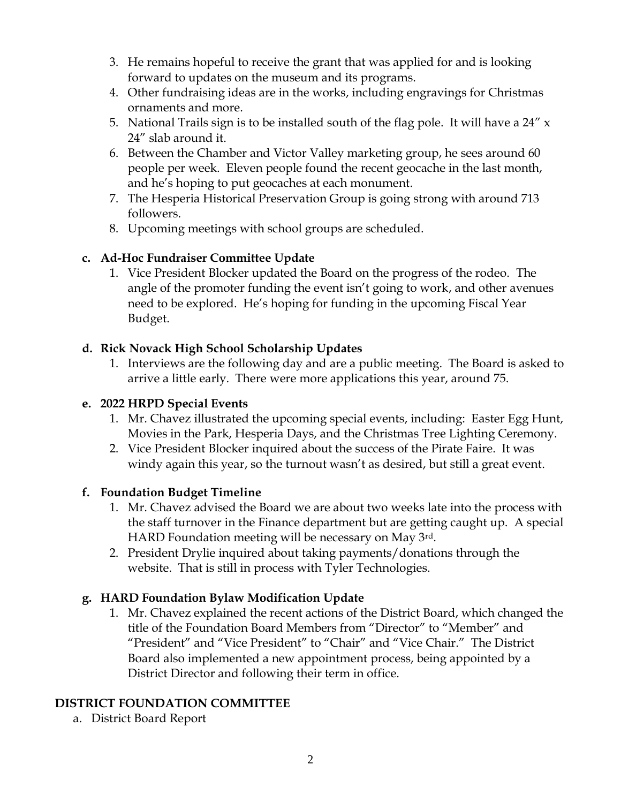- 3. He remains hopeful to receive the grant that was applied for and is looking forward to updates on the museum and its programs.
- 4. Other fundraising ideas are in the works, including engravings for Christmas ornaments and more.
- 5. National Trails sign is to be installed south of the flag pole. It will have a  $24''$  x 24" slab around it.
- 6. Between the Chamber and Victor Valley marketing group, he sees around 60 people per week. Eleven people found the recent geocache in the last month, and he's hoping to put geocaches at each monument.
- 7. The Hesperia Historical Preservation Group is going strong with around 713 followers.
- 8. Upcoming meetings with school groups are scheduled.

## **c. Ad-Hoc Fundraiser Committee Update**

1. Vice President Blocker updated the Board on the progress of the rodeo. The angle of the promoter funding the event isn't going to work, and other avenues need to be explored. He's hoping for funding in the upcoming Fiscal Year Budget.

## **d. Rick Novack High School Scholarship Updates**

1. Interviews are the following day and are a public meeting. The Board is asked to arrive a little early. There were more applications this year, around 75.

## **e. 2022 HRPD Special Events**

- 1. Mr. Chavez illustrated the upcoming special events, including: Easter Egg Hunt, Movies in the Park, Hesperia Days, and the Christmas Tree Lighting Ceremony.
- 2. Vice President Blocker inquired about the success of the Pirate Faire. It was windy again this year, so the turnout wasn't as desired, but still a great event.

## **f. Foundation Budget Timeline**

- 1. Mr. Chavez advised the Board we are about two weeks late into the process with the staff turnover in the Finance department but are getting caught up. A special HARD Foundation meeting will be necessary on May 3rd.
- 2. President Drylie inquired about taking payments/donations through the website. That is still in process with Tyler Technologies.

# **g. HARD Foundation Bylaw Modification Update**

1. Mr. Chavez explained the recent actions of the District Board, which changed the title of the Foundation Board Members from "Director" to "Member" and "President" and "Vice President" to "Chair" and "Vice Chair." The District Board also implemented a new appointment process, being appointed by a District Director and following their term in office.

# **DISTRICT FOUNDATION COMMITTEE**

a. District Board Report